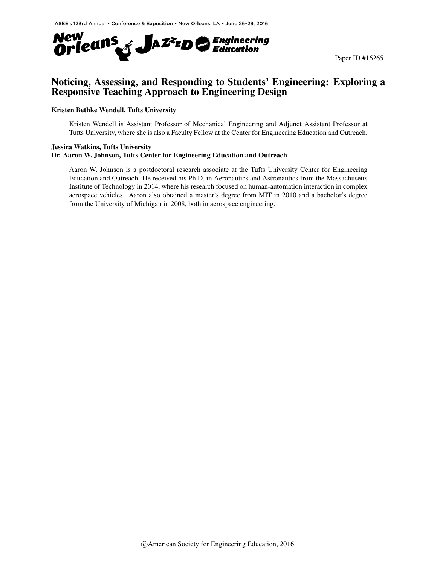

# Noticing, Assessing, and Responding to Students' Engineering: Exploring a Responsive Teaching Approach to Engineering Design

#### Kristen Bethke Wendell, Tufts University

Kristen Wendell is Assistant Professor of Mechanical Engineering and Adjunct Assistant Professor at Tufts University, where she is also a Faculty Fellow at the Center for Engineering Education and Outreach.

#### Jessica Watkins, Tufts University Dr. Aaron W. Johnson, Tufts Center for Engineering Education and Outreach

Aaron W. Johnson is a postdoctoral research associate at the Tufts University Center for Engineering Education and Outreach. He received his Ph.D. in Aeronautics and Astronautics from the Massachusetts Institute of Technology in 2014, where his research focused on human-automation interaction in complex aerospace vehicles. Aaron also obtained a master's degree from MIT in 2010 and a bachelor's degree from the University of Michigan in 2008, both in aerospace engineering.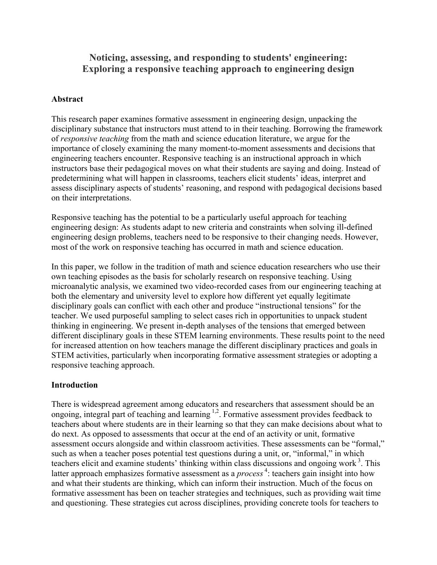# **Noticing, assessing, and responding to students' engineering: Exploring a responsive teaching approach to engineering design**

#### **Abstract**

This research paper examines formative assessment in engineering design, unpacking the disciplinary substance that instructors must attend to in their teaching. Borrowing the framework of *responsive teaching* from the math and science education literature, we argue for the importance of closely examining the many moment-to-moment assessments and decisions that engineering teachers encounter. Responsive teaching is an instructional approach in which instructors base their pedagogical moves on what their students are saying and doing. Instead of predetermining what will happen in classrooms, teachers elicit students' ideas, interpret and assess disciplinary aspects of students' reasoning, and respond with pedagogical decisions based on their interpretations.

Responsive teaching has the potential to be a particularly useful approach for teaching engineering design: As students adapt to new criteria and constraints when solving ill-defined engineering design problems, teachers need to be responsive to their changing needs. However, most of the work on responsive teaching has occurred in math and science education.

In this paper, we follow in the tradition of math and science education researchers who use their own teaching episodes as the basis for scholarly research on responsive teaching. Using microanalytic analysis, we examined two video-recorded cases from our engineering teaching at both the elementary and university level to explore how different yet equally legitimate disciplinary goals can conflict with each other and produce "instructional tensions" for the teacher. We used purposeful sampling to select cases rich in opportunities to unpack student thinking in engineering. We present in-depth analyses of the tensions that emerged between different disciplinary goals in these STEM learning environments. These results point to the need for increased attention on how teachers manage the different disciplinary practices and goals in STEM activities, particularly when incorporating formative assessment strategies or adopting a responsive teaching approach.

#### **Introduction**

There is widespread agreement among educators and researchers that assessment should be an ongoing, integral part of teaching and learning <sup>1,2</sup>. Formative assessment provides feedback to teachers about where students are in their learning so that they can make decisions about what to do next. As opposed to assessments that occur at the end of an activity or unit, formative assessment occurs alongside and within classroom activities. These assessments can be "formal," such as when a teacher poses potential test questions during a unit, or, "informal," in which teachers elicit and examine students' thinking within class discussions and ongoing work<sup>3</sup>. This latter approach emphasizes formative assessment as a *process*<sup>4</sup>: teachers gain insight into how and what their students are thinking, which can inform their instruction. Much of the focus on formative assessment has been on teacher strategies and techniques, such as providing wait time and questioning. These strategies cut across disciplines, providing concrete tools for teachers to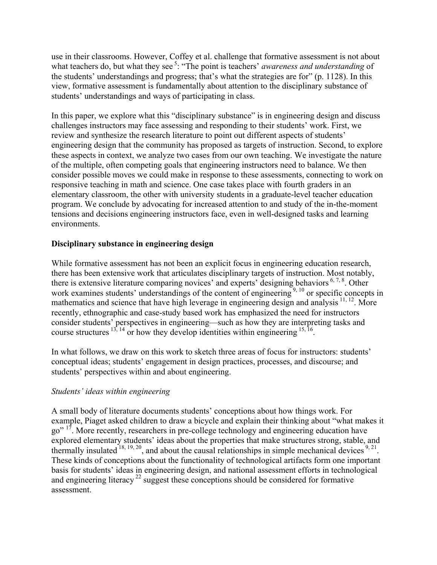use in their classrooms. However, Coffey et al. challenge that formative assessment is not about what teachers do, but what they see<sup>5</sup>: "The point is teachers' *awareness and understanding* of the students' understandings and progress; that's what the strategies are for" (p. 1128). In this view, formative assessment is fundamentally about attention to the disciplinary substance of students' understandings and ways of participating in class.

In this paper, we explore what this "disciplinary substance" is in engineering design and discuss challenges instructors may face assessing and responding to their students' work. First, we review and synthesize the research literature to point out different aspects of students' engineering design that the community has proposed as targets of instruction. Second, to explore these aspects in context, we analyze two cases from our own teaching. We investigate the nature of the multiple, often competing goals that engineering instructors need to balance. We then consider possible moves we could make in response to these assessments, connecting to work on responsive teaching in math and science. One case takes place with fourth graders in an elementary classroom, the other with university students in a graduate-level teacher education program. We conclude by advocating for increased attention to and study of the in-the-moment tensions and decisions engineering instructors face, even in well-designed tasks and learning environments.

## **Disciplinary substance in engineering design**

While formative assessment has not been an explicit focus in engineering education research, there has been extensive work that articulates disciplinary targets of instruction. Most notably, there is extensive literature comparing novices' and experts' designing behaviors <sup>6, 7, 8</sup>. Other work examines students' understandings of the content of engineering <sup>9, 10</sup> or specific concepts in mathematics and science that have high leverage in engineering design and analysis  $11, 12$ . More recently, ethnographic and case-study based work has emphasized the need for instructors consider students' perspectives in engineering—such as how they are interpreting tasks and course structures  $13, 14$  or how they develop identities within engineering  $15, 16$ .

In what follows, we draw on this work to sketch three areas of focus for instructors: students' conceptual ideas; students' engagement in design practices, processes, and discourse; and students' perspectives within and about engineering.

## *Students' ideas within engineering*

A small body of literature documents students' conceptions about how things work. For example, Piaget asked children to draw a bicycle and explain their thinking about "what makes it go" <sup>17</sup>. More recently, researchers in pre-college technology and engineering education have explored elementary students' ideas about the properties that make structures strong, stable, and thermally insulated  $18, 19, 20$ , and about the causal relationships in simple mechanical devices  $9, 21$ . These kinds of conceptions about the functionality of technological artifacts form one important basis for students' ideas in engineering design, and national assessment efforts in technological and engineering literacy  $^{22}$  suggest these conceptions should be considered for formative assessment.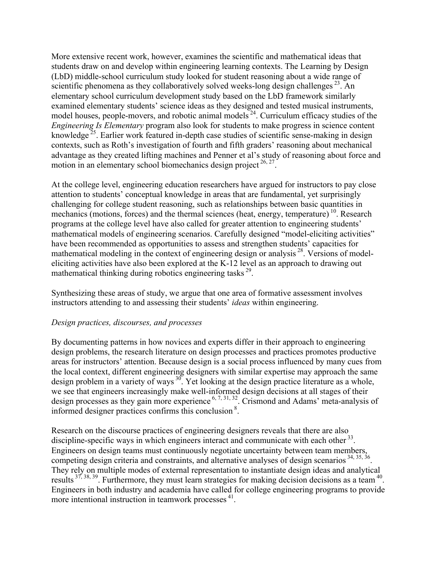More extensive recent work, however, examines the scientific and mathematical ideas that students draw on and develop within engineering learning contexts. The Learning by Design (LbD) middle-school curriculum study looked for student reasoning about a wide range of scientific phenomena as they collaboratively solved weeks-long design challenges  $^{23}$ . An elementary school curriculum development study based on the LbD framework similarly examined elementary students' science ideas as they designed and tested musical instruments, model houses, people-movers, and robotic animal models  $24$ . Curriculum efficacy studies of the *Engineering Is Elementary* program also look for students to make progress in science content knowledge  $^{25}$ . Earlier work featured in-depth case studies of scientific sense-making in design contexts, such as Roth's investigation of fourth and fifth graders' reasoning about mechanical advantage as they created lifting machines and Penner et al's study of reasoning about force and motion in an elementary school biomechanics design project  $26, 27$ .

At the college level, engineering education researchers have argued for instructors to pay close attention to students' conceptual knowledge in areas that are fundamental, yet surprisingly challenging for college student reasoning, such as relationships between basic quantities in mechanics (motions, forces) and the thermal sciences (heat, energy, temperature)  $^{10}$ . Research programs at the college level have also called for greater attention to engineering students' mathematical models of engineering scenarios. Carefully designed "model-eliciting activities" have been recommended as opportunities to assess and strengthen students' capacities for mathematical modeling in the context of engineering design or analysis  $28$ . Versions of modeleliciting activities have also been explored at the K-12 level as an approach to drawing out mathematical thinking during robotics engineering tasks<sup>29</sup>.

Synthesizing these areas of study, we argue that one area of formative assessment involves instructors attending to and assessing their students' *ideas* within engineering.

#### *Design practices, discourses, and processes*

By documenting patterns in how novices and experts differ in their approach to engineering design problems, the research literature on design processes and practices promotes productive areas for instructors' attention. Because design is a social process influenced by many cues from the local context, different engineering designers with similar expertise may approach the same design problem in a variety of ways  $\frac{30}{3}$ . Yet looking at the design practice literature as a whole, we see that engineers increasingly make well-informed design decisions at all stages of their design processes as they gain more experience  $6, 7, 31, 32$ . Crismond and Adams' meta-analysis of informed designer practices confirms this conclusion <sup>8</sup> .

Research on the discourse practices of engineering designers reveals that there are also discipline-specific ways in which engineers interact and communicate with each other  $33$ . Engineers on design teams must continuously negotiate uncertainty between team members, competing design criteria and constraints, and alternative analyses of design scenarios <sup>34, 35, 36</sup>. They rely on multiple modes of external representation to instantiate design ideas and analytical results <sup>37, 38, 39</sup>. Furthermore, they must learn strategies for making decision decisions as a team <sup>40</sup>. Engineers in both industry and academia have called for college engineering programs to provide more intentional instruction in teamwork processes <sup>41</sup>.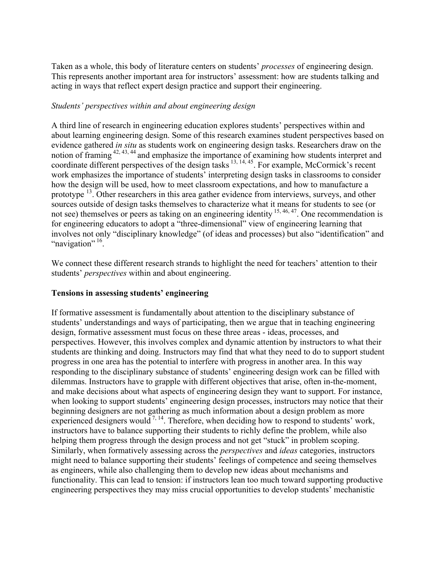Taken as a whole, this body of literature centers on students' *processes* of engineering design. This represents another important area for instructors' assessment: how are students talking and acting in ways that reflect expert design practice and support their engineering.

## *Students' perspectives within and about engineering design*

A third line of research in engineering education explores students' perspectives within and about learning engineering design. Some of this research examines student perspectives based on evidence gathered *in situ* as students work on engineering design tasks. Researchers draw on the notion of framing 42, 43, 44 and emphasize the importance of examining how students interpret and coordinate different perspectives of the design tasks  $\frac{13, 14, 45}{2}$ . For example, McCormick's recent work emphasizes the importance of students' interpreting design tasks in classrooms to consider how the design will be used, how to meet classroom expectations, and how to manufacture a prototype 13. Other researchers in this area gather evidence from interviews, surveys, and other sources outside of design tasks themselves to characterize what it means for students to see (or not see) themselves or peers as taking on an engineering identity  $^{15, 46, 47}$ . One recommendation is for engineering educators to adopt a "three-dimensional" view of engineering learning that involves not only "disciplinary knowledge" (of ideas and processes) but also "identification" and "
navigation"<sup>16</sup>.

We connect these different research strands to highlight the need for teachers' attention to their students' *perspectives* within and about engineering.

## **Tensions in assessing students' engineering**

If formative assessment is fundamentally about attention to the disciplinary substance of students' understandings and ways of participating, then we argue that in teaching engineering design, formative assessment must focus on these three areas - ideas, processes, and perspectives. However, this involves complex and dynamic attention by instructors to what their students are thinking and doing. Instructors may find that what they need to do to support student progress in one area has the potential to interfere with progress in another area. In this way responding to the disciplinary substance of students' engineering design work can be filled with dilemmas. Instructors have to grapple with different objectives that arise, often in-the-moment, and make decisions about what aspects of engineering design they want to support. For instance, when looking to support students' engineering design processes, instructors may notice that their beginning designers are not gathering as much information about a design problem as more experienced designers would  $^{7, 14}$ . Therefore, when deciding how to respond to students' work, instructors have to balance supporting their students to richly define the problem, while also helping them progress through the design process and not get "stuck" in problem scoping. Similarly, when formatively assessing across the *perspectives* and *ideas* categories, instructors might need to balance supporting their students' feelings of competence and seeing themselves as engineers, while also challenging them to develop new ideas about mechanisms and functionality. This can lead to tension: if instructors lean too much toward supporting productive engineering perspectives they may miss crucial opportunities to develop students' mechanistic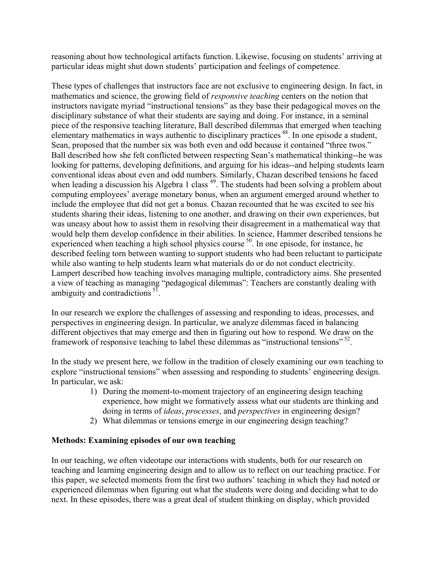reasoning about how technological artifacts function. Likewise, focusing on students' arriving at particular ideas might shut down students' participation and feelings of competence.

These types of challenges that instructors face are not exclusive to engineering design. In fact, in mathematics and science, the growing field of *responsive teaching* centers on the notion that instructors navigate myriad "instructional tensions" as they base their pedagogical moves on the disciplinary substance of what their students are saying and doing. For instance, in a seminal piece of the responsive teaching literature, Ball described dilemmas that emerged when teaching elementary mathematics in ways authentic to disciplinary practices<sup>48</sup>. In one episode a student, Sean, proposed that the number six was both even and odd because it contained "three twos." Ball described how she felt conflicted between respecting Sean's mathematical thinking--he was looking for patterns, developing definitions, and arguing for his ideas--and helping students learn conventional ideas about even and odd numbers. Similarly, Chazan described tensions he faced when leading a discussion his Algebra 1 class <sup>49</sup>. The students had been solving a problem about computing employees' average monetary bonus, when an argument emerged around whether to include the employee that did not get a bonus. Chazan recounted that he was excited to see his students sharing their ideas, listening to one another, and drawing on their own experiences, but was uneasy about how to assist them in resolving their disagreement in a mathematical way that would help them develop confidence in their abilities. In science, Hammer described tensions he experienced when teaching a high school physics course  $50$ . In one episode, for instance, he described feeling torn between wanting to support students who had been reluctant to participate while also wanting to help students learn what materials do or do not conduct electricity. Lampert described how teaching involves managing multiple, contradictory aims. She presented a view of teaching as managing "pedagogical dilemmas": Teachers are constantly dealing with ambiguity and contradictions <sup>51</sup>.

In our research we explore the challenges of assessing and responding to ideas, processes, and perspectives in engineering design. In particular, we analyze dilemmas faced in balancing different objectives that may emerge and then in figuring out how to respond. We draw on the framework of responsive teaching to label these dilemmas as "instructional tensions"  $52$ .

In the study we present here, we follow in the tradition of closely examining our own teaching to explore "instructional tensions" when assessing and responding to students' engineering design. In particular, we ask:

- 1) During the moment-to-moment trajectory of an engineering design teaching experience, how might we formatively assess what our students are thinking and doing in terms of *ideas*, *processes*, and *perspectives* in engineering design?
- 2) What dilemmas or tensions emerge in our engineering design teaching?

## **Methods: Examining episodes of our own teaching**

In our teaching, we often videotape our interactions with students, both for our research on teaching and learning engineering design and to allow us to reflect on our teaching practice. For this paper, we selected moments from the first two authors' teaching in which they had noted or experienced dilemmas when figuring out what the students were doing and deciding what to do next. In these episodes, there was a great deal of student thinking on display, which provided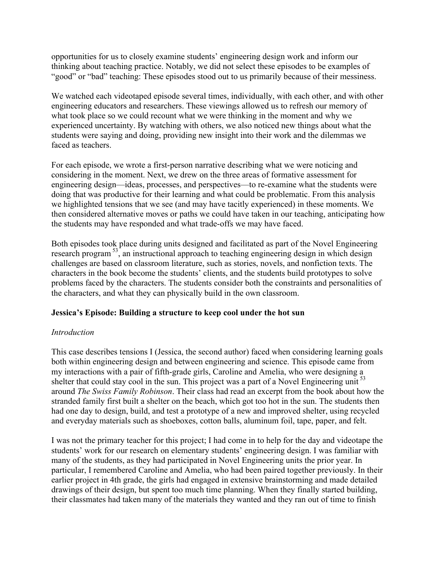opportunities for us to closely examine students' engineering design work and inform our thinking about teaching practice. Notably, we did not select these episodes to be examples of "good" or "bad" teaching: These episodes stood out to us primarily because of their messiness.

We watched each videotaped episode several times, individually, with each other, and with other engineering educators and researchers. These viewings allowed us to refresh our memory of what took place so we could recount what we were thinking in the moment and why we experienced uncertainty. By watching with others, we also noticed new things about what the students were saying and doing, providing new insight into their work and the dilemmas we faced as teachers.

For each episode, we wrote a first-person narrative describing what we were noticing and considering in the moment. Next, we drew on the three areas of formative assessment for engineering design—ideas, processes, and perspectives—to re-examine what the students were doing that was productive for their learning and what could be problematic. From this analysis we highlighted tensions that we see (and may have tacitly experienced) in these moments. We then considered alternative moves or paths we could have taken in our teaching, anticipating how the students may have responded and what trade-offs we may have faced.

Both episodes took place during units designed and facilitated as part of the Novel Engineering research program  $^{53}$ , an instructional approach to teaching engineering design in which design challenges are based on classroom literature, such as stories, novels, and nonfiction texts. The characters in the book become the students' clients, and the students build prototypes to solve problems faced by the characters. The students consider both the constraints and personalities of the characters, and what they can physically build in the own classroom.

## **Jessica's Episode: Building a structure to keep cool under the hot sun**

#### *Introduction*

This case describes tensions I (Jessica, the second author) faced when considering learning goals both within engineering design and between engineering and science. This episode came from my interactions with a pair of fifth-grade girls, Caroline and Amelia, who were designing a shelter that could stay cool in the sun. This project was a part of a Novel Engineering unit<sup>53</sup> around *The Swiss Family Robinson*. Their class had read an excerpt from the book about how the stranded family first built a shelter on the beach, which got too hot in the sun. The students then had one day to design, build, and test a prototype of a new and improved shelter, using recycled and everyday materials such as shoeboxes, cotton balls, aluminum foil, tape, paper, and felt.

I was not the primary teacher for this project; I had come in to help for the day and videotape the students' work for our research on elementary students' engineering design. I was familiar with many of the students, as they had participated in Novel Engineering units the prior year. In particular, I remembered Caroline and Amelia, who had been paired together previously. In their earlier project in 4th grade, the girls had engaged in extensive brainstorming and made detailed drawings of their design, but spent too much time planning. When they finally started building, their classmates had taken many of the materials they wanted and they ran out of time to finish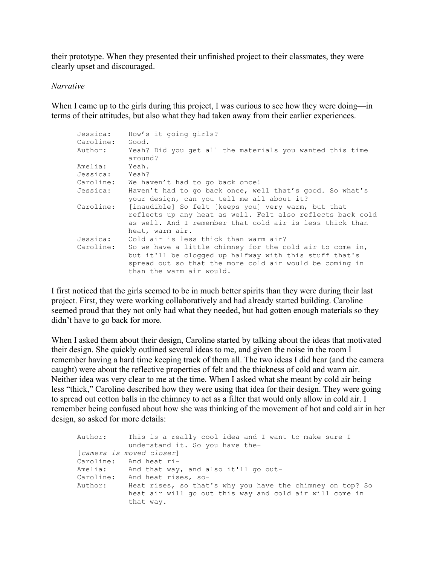their prototype. When they presented their unfinished project to their classmates, they were clearly upset and discouraged.

#### *Narrative*

When I came up to the girls during this project, I was curious to see how they were doing—in terms of their attitudes, but also what they had taken away from their earlier experiences.

| Jessica:<br>Caroline: | How's it going girls?<br>Good.                                                                                                                                                                            |
|-----------------------|-----------------------------------------------------------------------------------------------------------------------------------------------------------------------------------------------------------|
| Author:               | Yeah? Did you get all the materials you wanted this time<br>around?                                                                                                                                       |
|                       |                                                                                                                                                                                                           |
| Amelia:               | Yeah.                                                                                                                                                                                                     |
| Jessica: Yeah?        |                                                                                                                                                                                                           |
|                       | Caroline: We haven't had to go back once!                                                                                                                                                                 |
| Jessica:              | Haven't had to go back once, well that's good. So what's<br>your design, can you tell me all about it?                                                                                                    |
| Caroline:             | [inaudible] So felt [keeps you] very warm, but that<br>reflects up any heat as well. Felt also reflects back cold<br>as well. And I remember that cold air is less thick than<br>heat, warm air.          |
| Jessica:              | Cold air is less thick than warm air?                                                                                                                                                                     |
| Caroline:             | So we have a little chimney for the cold air to come in,<br>but it'll be clogged up halfway with this stuff that's<br>spread out so that the more cold air would be coming in<br>than the warm air would. |

I first noticed that the girls seemed to be in much better spirits than they were during their last project. First, they were working collaboratively and had already started building. Caroline seemed proud that they not only had what they needed, but had gotten enough materials so they didn't have to go back for more.

When I asked them about their design, Caroline started by talking about the ideas that motivated their design. She quickly outlined several ideas to me, and given the noise in the room I remember having a hard time keeping track of them all. The two ideas I did hear (and the camera caught) were about the reflective properties of felt and the thickness of cold and warm air. Neither idea was very clear to me at the time. When I asked what she meant by cold air being less "thick," Caroline described how they were using that idea for their design. They were going to spread out cotton balls in the chimney to act as a filter that would only allow in cold air. I remember being confused about how she was thinking of the movement of hot and cold air in her design, so asked for more details:

```
Author: This is a really cool idea and I want to make sure I 
           understand it. So you have the-
[camera is moved closer]
Caroline: And heat ri-
Amelia: And that way, and also it'll go out-
Caroline: And heat rises, so-
Author: Heat rises, so that's why you have the chimney on top? So 
           heat air will go out this way and cold air will come in 
           that way.
```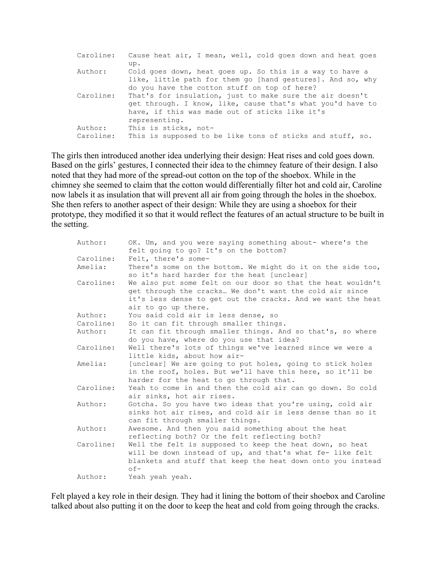| Caroline:            | Cause heat air, I mean, well, cold goes down and heat goes<br>up.                                                                                                                         |
|----------------------|-------------------------------------------------------------------------------------------------------------------------------------------------------------------------------------------|
| Author:              | Cold goes down, heat goes up. So this is a way to have a<br>like, little path for them go [hand gestures]. And so, why<br>do you have the cotton stuff on top of here?                    |
| Caroline:            | That's for insulation, just to make sure the air doesn't<br>get through. I know, like, cause that's what you'd have to<br>have, if this was made out of sticks like it's<br>representing. |
| Author:<br>Caroline: | This is sticks, not-<br>This is supposed to be like tons of sticks and stuff, so.                                                                                                         |

The girls then introduced another idea underlying their design: Heat rises and cold goes down. Based on the girls' gestures, I connected their idea to the chimney feature of their design. I also noted that they had more of the spread-out cotton on the top of the shoebox. While in the chimney she seemed to claim that the cotton would differentially filter hot and cold air, Caroline now labels it as insulation that will prevent all air from going through the holes in the shoebox. She then refers to another aspect of their design: While they are using a shoebox for their prototype, they modified it so that it would reflect the features of an actual structure to be built in the setting.

| Author:   | OK. Um, and you were saying something about- where's the    |
|-----------|-------------------------------------------------------------|
|           | felt going to go? It's on the bottom?                       |
| Caroline: | Felt, there's some-                                         |
| Amelia:   | There's some on the bottom. We might do it on the side too, |
|           | so it's hard harder for the heat [unclear]                  |
| Caroline: | We also put some felt on our door so that the heat wouldn't |
|           | get through the cracks We don't want the cold air since     |
|           | it's less dense to get out the cracks. And we want the heat |
|           | air to go up there.                                         |
| Author:   | You said cold air is less dense, so                         |
| Caroline: | So it can fit through smaller things.                       |
| Author:   | It can fit through smaller things. And so that's, so where  |
|           | do you have, where do you use that idea?                    |
| Caroline: | Well there's lots of things we've learned since we were a   |
|           | little kids, about how air-                                 |
| Amelia:   | [unclear] We are going to put holes, going to stick holes   |
|           | in the roof, holes. But we'll have this here, so it'll be   |
|           | harder for the heat to go through that.                     |
| Caroline: | Yeah to come in and then the cold air can go down. So cold  |
|           | air sinks, hot air rises.                                   |
| Author:   | Gotcha. So you have two ideas that you're using, cold air   |
|           | sinks hot air rises, and cold air is less dense than so it  |
|           | can fit through smaller things.                             |
| Author:   | Awesome. And then you said something about the heat         |
|           | reflecting both? Or the felt reflecting both?               |
| Caroline: | Well the felt is supposed to keep the heat down, so heat    |
|           | will be down instead of up, and that's what fe- like felt   |
|           | blankets and stuff that keep the heat down onto you instead |
|           | $of -$                                                      |
| Author:   | Yeah yeah yeah.                                             |
|           |                                                             |

Felt played a key role in their design. They had it lining the bottom of their shoebox and Caroline talked about also putting it on the door to keep the heat and cold from going through the cracks.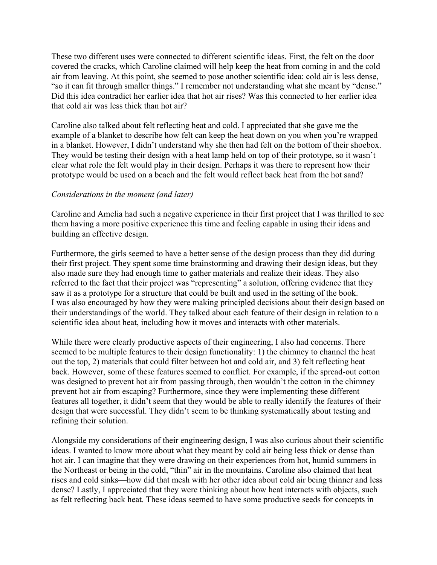These two different uses were connected to different scientific ideas. First, the felt on the door covered the cracks, which Caroline claimed will help keep the heat from coming in and the cold air from leaving. At this point, she seemed to pose another scientific idea: cold air is less dense, "so it can fit through smaller things." I remember not understanding what she meant by "dense." Did this idea contradict her earlier idea that hot air rises? Was this connected to her earlier idea that cold air was less thick than hot air?

Caroline also talked about felt reflecting heat and cold. I appreciated that she gave me the example of a blanket to describe how felt can keep the heat down on you when you're wrapped in a blanket. However, I didn't understand why she then had felt on the bottom of their shoebox. They would be testing their design with a heat lamp held on top of their prototype, so it wasn't clear what role the felt would play in their design. Perhaps it was there to represent how their prototype would be used on a beach and the felt would reflect back heat from the hot sand?

### *Considerations in the moment (and later)*

Caroline and Amelia had such a negative experience in their first project that I was thrilled to see them having a more positive experience this time and feeling capable in using their ideas and building an effective design.

Furthermore, the girls seemed to have a better sense of the design process than they did during their first project. They spent some time brainstorming and drawing their design ideas, but they also made sure they had enough time to gather materials and realize their ideas. They also referred to the fact that their project was "representing" a solution, offering evidence that they saw it as a prototype for a structure that could be built and used in the setting of the book. I was also encouraged by how they were making principled decisions about their design based on their understandings of the world. They talked about each feature of their design in relation to a scientific idea about heat, including how it moves and interacts with other materials.

While there were clearly productive aspects of their engineering, I also had concerns. There seemed to be multiple features to their design functionality: 1) the chimney to channel the heat out the top, 2) materials that could filter between hot and cold air, and 3) felt reflecting heat back. However, some of these features seemed to conflict. For example, if the spread-out cotton was designed to prevent hot air from passing through, then wouldn't the cotton in the chimney prevent hot air from escaping? Furthermore, since they were implementing these different features all together, it didn't seem that they would be able to really identify the features of their design that were successful. They didn't seem to be thinking systematically about testing and refining their solution.

Alongside my considerations of their engineering design, I was also curious about their scientific ideas. I wanted to know more about what they meant by cold air being less thick or dense than hot air. I can imagine that they were drawing on their experiences from hot, humid summers in the Northeast or being in the cold, "thin" air in the mountains. Caroline also claimed that heat rises and cold sinks—how did that mesh with her other idea about cold air being thinner and less dense? Lastly, I appreciated that they were thinking about how heat interacts with objects, such as felt reflecting back heat. These ideas seemed to have some productive seeds for concepts in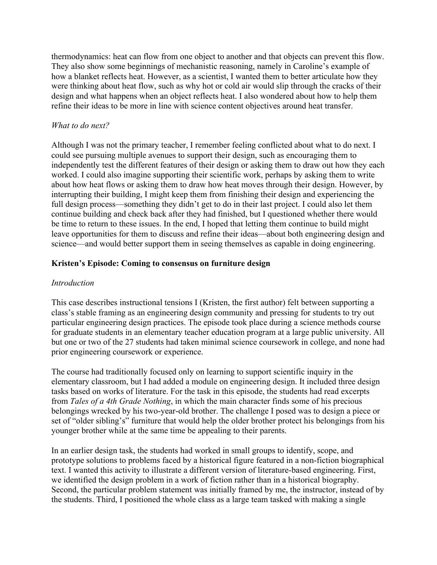thermodynamics: heat can flow from one object to another and that objects can prevent this flow. They also show some beginnings of mechanistic reasoning, namely in Caroline's example of how a blanket reflects heat. However, as a scientist, I wanted them to better articulate how they were thinking about heat flow, such as why hot or cold air would slip through the cracks of their design and what happens when an object reflects heat. I also wondered about how to help them refine their ideas to be more in line with science content objectives around heat transfer.

### *What to do next?*

Although I was not the primary teacher, I remember feeling conflicted about what to do next. I could see pursuing multiple avenues to support their design, such as encouraging them to independently test the different features of their design or asking them to draw out how they each worked. I could also imagine supporting their scientific work, perhaps by asking them to write about how heat flows or asking them to draw how heat moves through their design. However, by interrupting their building, I might keep them from finishing their design and experiencing the full design process—something they didn't get to do in their last project. I could also let them continue building and check back after they had finished, but I questioned whether there would be time to return to these issues. In the end, I hoped that letting them continue to build might leave opportunities for them to discuss and refine their ideas—about both engineering design and science—and would better support them in seeing themselves as capable in doing engineering.

### **Kristen's Episode: Coming to consensus on furniture design**

#### *Introduction*

This case describes instructional tensions I (Kristen, the first author) felt between supporting a class's stable framing as an engineering design community and pressing for students to try out particular engineering design practices. The episode took place during a science methods course for graduate students in an elementary teacher education program at a large public university. All but one or two of the 27 students had taken minimal science coursework in college, and none had prior engineering coursework or experience.

The course had traditionally focused only on learning to support scientific inquiry in the elementary classroom, but I had added a module on engineering design. It included three design tasks based on works of literature. For the task in this episode, the students had read excerpts from *Tales of a 4th Grade Nothing*, in which the main character finds some of his precious belongings wrecked by his two-year-old brother. The challenge I posed was to design a piece or set of "older sibling's" furniture that would help the older brother protect his belongings from his younger brother while at the same time be appealing to their parents.

In an earlier design task, the students had worked in small groups to identify, scope, and prototype solutions to problems faced by a historical figure featured in a non-fiction biographical text. I wanted this activity to illustrate a different version of literature-based engineering. First, we identified the design problem in a work of fiction rather than in a historical biography. Second, the particular problem statement was initially framed by me, the instructor, instead of by the students. Third, I positioned the whole class as a large team tasked with making a single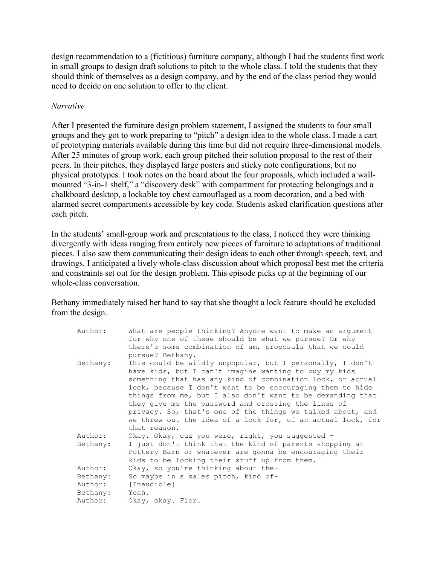design recommendation to a (fictitious) furniture company, although I had the students first work in small groups to design draft solutions to pitch to the whole class. I told the students that they should think of themselves as a design company, and by the end of the class period they would need to decide on one solution to offer to the client.

### *Narrative*

After I presented the furniture design problem statement, I assigned the students to four small groups and they got to work preparing to "pitch" a design idea to the whole class. I made a cart of prototyping materials available during this time but did not require three-dimensional models. After 25 minutes of group work, each group pitched their solution proposal to the rest of their peers. In their pitches, they displayed large posters and sticky note configurations, but no physical prototypes. I took notes on the board about the four proposals, which included a wallmounted "3-in-1 shelf," a "discovery desk" with compartment for protecting belongings and a chalkboard desktop, a lockable toy chest camouflaged as a room decoration, and a bed with alarmed secret compartments accessible by key code. Students asked clarification questions after each pitch.

In the students' small-group work and presentations to the class, I noticed they were thinking divergently with ideas ranging from entirely new pieces of furniture to adaptations of traditional pieces. I also saw them communicating their design ideas to each other through speech, text, and drawings. I anticipated a lively whole-class discussion about which proposal best met the criteria and constraints set out for the design problem. This episode picks up at the beginning of our whole-class conversation.

Bethany immediately raised her hand to say that she thought a lock feature should be excluded from the design.

| Author:  | What are people thinking? Anyone want to make an argument<br>for why one of these should be what we pursue? Or why<br>there's some combination of um, proposals that we could<br>pursue? Bethany.                                                                                                                                                                                                                                                                                                               |
|----------|-----------------------------------------------------------------------------------------------------------------------------------------------------------------------------------------------------------------------------------------------------------------------------------------------------------------------------------------------------------------------------------------------------------------------------------------------------------------------------------------------------------------|
| Bethany: | This could be wildly unpopular, but I personally, I don't<br>have kids, but I can't imagine wanting to buy my kids<br>something that has any kind of combination lock, or actual<br>lock, because I don't want to be encouraging them to hide<br>things from me, but I also don't want to be demanding that<br>they give me the password and crossing the lines of<br>privacy. So, that's one of the things we talked about, and<br>we threw out the idea of a lock for, of an actual lock, for<br>that reason. |
| Author:  | Okay. Okay, cuz you were, right, you suggested -                                                                                                                                                                                                                                                                                                                                                                                                                                                                |
| Bethany: | I just don't think that the kind of parents shopping at<br>Pottery Barn or whatever are gonna be encouraging their<br>kids to be locking their stuff up from them.                                                                                                                                                                                                                                                                                                                                              |
| Author:  | Okay, so you're thinking about the-                                                                                                                                                                                                                                                                                                                                                                                                                                                                             |
| Bethany: | So maybe in a sales pitch, kind of-                                                                                                                                                                                                                                                                                                                                                                                                                                                                             |
| Author:  | [Inaudible]                                                                                                                                                                                                                                                                                                                                                                                                                                                                                                     |
| Bethany: | Yeah.                                                                                                                                                                                                                                                                                                                                                                                                                                                                                                           |
| Author:  | Okay, okay. Flor.                                                                                                                                                                                                                                                                                                                                                                                                                                                                                               |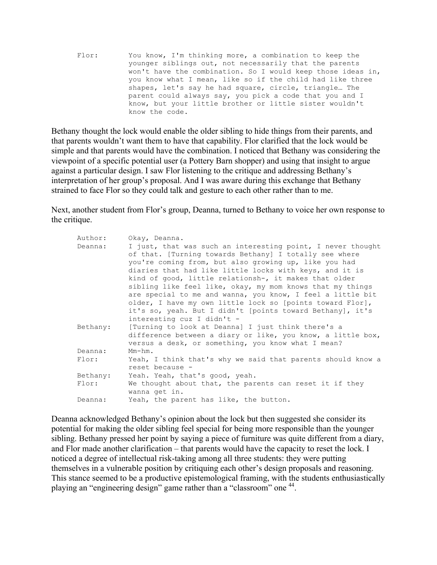Flor: You know, I'm thinking more, a combination to keep the younger siblings out, not necessarily that the parents won't have the combination. So I would keep those ideas in, you know what I mean, like so if the child had like three shapes, let's say he had square, circle, triangle… The parent could always say, you pick a code that you and I know, but your little brother or little sister wouldn't know the code.

Bethany thought the lock would enable the older sibling to hide things from their parents, and that parents wouldn't want them to have that capability. Flor clarified that the lock would be simple and that parents would have the combination. I noticed that Bethany was considering the viewpoint of a specific potential user (a Pottery Barn shopper) and using that insight to argue against a particular design. I saw Flor listening to the critique and addressing Bethany's interpretation of her group's proposal. And I was aware during this exchange that Bethany strained to face Flor so they could talk and gesture to each other rather than to me.

Next, another student from Flor's group, Deanna, turned to Bethany to voice her own response to the critique.

| Author:  | Okay, Deanna.                                                                                                                                                                                                                                                                                                                                                                                                                                                                              |
|----------|--------------------------------------------------------------------------------------------------------------------------------------------------------------------------------------------------------------------------------------------------------------------------------------------------------------------------------------------------------------------------------------------------------------------------------------------------------------------------------------------|
| Deanna:  | I just, that was such an interesting point, I never thought<br>of that. [Turning towards Bethany] I totally see where<br>you're coming from, but also growing up, like you had<br>diaries that had like little locks with keys, and it is<br>kind of good, little relationsh-, it makes that older<br>sibling like feel like, okay, my mom knows that my things<br>are special to me and wanna, you know, I feel a little bit<br>older, I have my own little lock so [points toward Flor], |
|          | it's so, yeah. But I didn't [points toward Bethany], it's<br>interesting cuz I didn't -                                                                                                                                                                                                                                                                                                                                                                                                    |
| Bethany: | [Turning to look at Deanna] I just think there's a<br>difference between a diary or like, you know, a little box,<br>versus a desk, or something, you know what I mean?                                                                                                                                                                                                                                                                                                                    |
| Deanna:  | $Mm-hm$ .                                                                                                                                                                                                                                                                                                                                                                                                                                                                                  |
| Flor:    | Yeah, I think that's why we said that parents should know a<br>reset because -                                                                                                                                                                                                                                                                                                                                                                                                             |
| Bethany: | Yeah. Yeah, that's good, yeah.                                                                                                                                                                                                                                                                                                                                                                                                                                                             |
| Flor:    | We thought about that, the parents can reset it if they<br>wanna qet in.                                                                                                                                                                                                                                                                                                                                                                                                                   |
| Deanna:  | Yeah, the parent has like, the button.                                                                                                                                                                                                                                                                                                                                                                                                                                                     |

Deanna acknowledged Bethany's opinion about the lock but then suggested she consider its potential for making the older sibling feel special for being more responsible than the younger sibling. Bethany pressed her point by saying a piece of furniture was quite different from a diary, and Flor made another clarification – that parents would have the capacity to reset the lock. I noticed a degree of intellectual risk-taking among all three students: they were putting themselves in a vulnerable position by critiquing each other's design proposals and reasoning. This stance seemed to be a productive epistemological framing, with the students enthusiastically playing an "engineering design" game rather than a "classroom" one 44.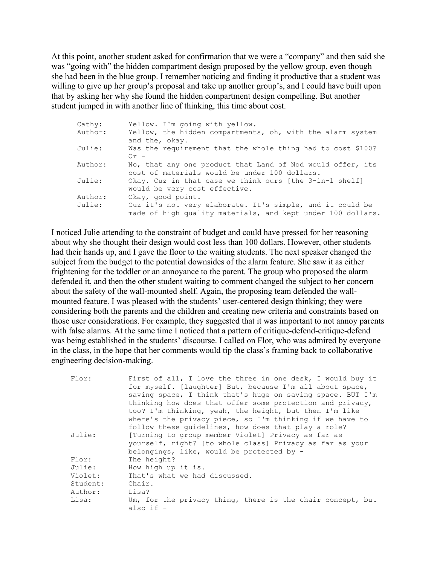At this point, another student asked for confirmation that we were a "company" and then said she was "going with" the hidden compartment design proposed by the yellow group, even though she had been in the blue group. I remember noticing and finding it productive that a student was willing to give up her group's proposal and take up another group's, and I could have built upon that by asking her why she found the hidden compartment design compelling. But another student jumped in with another line of thinking, this time about cost.

| Cathy:  | Yellow. I'm going with yellow.                              |
|---------|-------------------------------------------------------------|
| Author: | Yellow, the hidden compartments, oh, with the alarm system  |
|         | and the, okay.                                              |
| Julie:  | Was the requirement that the whole thing had to cost \$100? |
|         | $0r -$                                                      |
| Author: | No, that any one product that Land of Nod would offer, its  |
|         | cost of materials would be under 100 dollars.               |
| Julie:  | Okay. Cuz in that case we think ours [the 3-in-1 shelf]     |
|         | would be very cost effective.                               |
| Author: | Okay, good point.                                           |
| Julie:  | Cuz it's not very elaborate. It's simple, and it could be   |
|         | made of high quality materials, and kept under 100 dollars. |

I noticed Julie attending to the constraint of budget and could have pressed for her reasoning about why she thought their design would cost less than 100 dollars. However, other students had their hands up, and I gave the floor to the waiting students. The next speaker changed the subject from the budget to the potential downsides of the alarm feature. She saw it as either frightening for the toddler or an annoyance to the parent. The group who proposed the alarm defended it, and then the other student waiting to comment changed the subject to her concern about the safety of the wall-mounted shelf. Again, the proposing team defended the wallmounted feature. I was pleased with the students' user-centered design thinking; they were considering both the parents and the children and creating new criteria and constraints based on those user considerations. For example, they suggested that it was important to not annoy parents with false alarms. At the same time I noticed that a pattern of critique-defend-critique-defend was being established in the students' discourse. I called on Flor, who was admired by everyone in the class, in the hope that her comments would tip the class's framing back to collaborative engineering decision-making.

| Flor:    | First of all, I love the three in one desk, I would buy it |
|----------|------------------------------------------------------------|
|          | for myself. [laughter] But, because I'm all about space,   |
|          | saving space, I think that's huge on saving space. BUT I'm |
|          | thinking how does that offer some protection and privacy,  |
|          | too? I'm thinking, yeah, the height, but then I'm like     |
|          | where's the privacy piece, so I'm thinking if we have to   |
|          | follow these quidelines, how does that play a role?        |
| Julie:   | [Turning to group member Violet] Privacy as far as         |
|          | yourself, right? [to whole class] Privacy as far as your   |
|          | belongings, like, would be protected by -                  |
| Flor:    | The height?                                                |
| Julie:   | How high up it is.                                         |
| Violet:  | That's what we had discussed.                              |
| Student: | Chair.                                                     |
| Author:  | Lisa?                                                      |
| Lisa:    | Um, for the privacy thing, there is the chair concept, but |
|          | also if $-$                                                |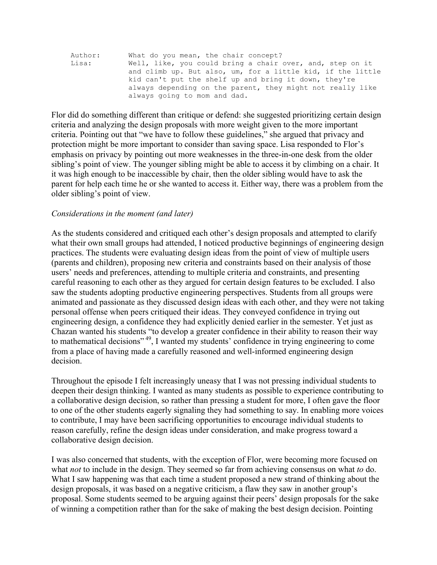| Author: | What do you mean, the chair concept?                        |
|---------|-------------------------------------------------------------|
| Lisa:   | Well, like, you could bring a chair over, and, step on it   |
|         | and climb up. But also, um, for a little kid, if the little |
|         | kid can't put the shelf up and bring it down, they're       |
|         | always depending on the parent, they might not really like  |
|         | always going to mom and dad.                                |

Flor did do something different than critique or defend: she suggested prioritizing certain design criteria and analyzing the design proposals with more weight given to the more important criteria. Pointing out that "we have to follow these guidelines," she argued that privacy and protection might be more important to consider than saving space. Lisa responded to Flor's emphasis on privacy by pointing out more weaknesses in the three-in-one desk from the older sibling's point of view. The younger sibling might be able to access it by climbing on a chair. It it was high enough to be inaccessible by chair, then the older sibling would have to ask the parent for help each time he or she wanted to access it. Either way, there was a problem from the older sibling's point of view.

#### *Considerations in the moment (and later)*

As the students considered and critiqued each other's design proposals and attempted to clarify what their own small groups had attended, I noticed productive beginnings of engineering design practices. The students were evaluating design ideas from the point of view of multiple users (parents and children), proposing new criteria and constraints based on their analysis of those users' needs and preferences, attending to multiple criteria and constraints, and presenting careful reasoning to each other as they argued for certain design features to be excluded. I also saw the students adopting productive engineering perspectives. Students from all groups were animated and passionate as they discussed design ideas with each other, and they were not taking personal offense when peers critiqued their ideas. They conveyed confidence in trying out engineering design, a confidence they had explicitly denied earlier in the semester. Yet just as Chazan wanted his students "to develop a greater confidence in their ability to reason their way to mathematical decisions<sup>", 49</sup>, I wanted my students' confidence in trying engineering to come from a place of having made a carefully reasoned and well-informed engineering design decision.

Throughout the episode I felt increasingly uneasy that I was not pressing individual students to deepen their design thinking. I wanted as many students as possible to experience contributing to a collaborative design decision, so rather than pressing a student for more, I often gave the floor to one of the other students eagerly signaling they had something to say. In enabling more voices to contribute, I may have been sacrificing opportunities to encourage individual students to reason carefully, refine the design ideas under consideration, and make progress toward a collaborative design decision.

I was also concerned that students, with the exception of Flor, were becoming more focused on what *not* to include in the design. They seemed so far from achieving consensus on what *to* do. What I saw happening was that each time a student proposed a new strand of thinking about the design proposals, it was based on a negative criticism, a flaw they saw in another group's proposal. Some students seemed to be arguing against their peers' design proposals for the sake of winning a competition rather than for the sake of making the best design decision. Pointing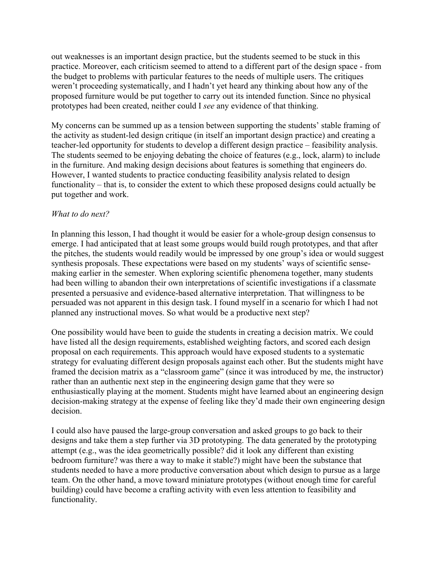out weaknesses is an important design practice, but the students seemed to be stuck in this practice. Moreover, each criticism seemed to attend to a different part of the design space - from the budget to problems with particular features to the needs of multiple users. The critiques weren't proceeding systematically, and I hadn't yet heard any thinking about how any of the proposed furniture would be put together to carry out its intended function. Since no physical prototypes had been created, neither could I *see* any evidence of that thinking.

My concerns can be summed up as a tension between supporting the students' stable framing of the activity as student-led design critique (in itself an important design practice) and creating a teacher-led opportunity for students to develop a different design practice – feasibility analysis. The students seemed to be enjoying debating the choice of features (e.g., lock, alarm) to include in the furniture. And making design decisions about features is something that engineers do. However, I wanted students to practice conducting feasibility analysis related to design functionality – that is, to consider the extent to which these proposed designs could actually be put together and work.

### *What to do next?*

In planning this lesson, I had thought it would be easier for a whole-group design consensus to emerge. I had anticipated that at least some groups would build rough prototypes, and that after the pitches, the students would readily would be impressed by one group's idea or would suggest synthesis proposals. These expectations were based on my students' ways of scientific sensemaking earlier in the semester. When exploring scientific phenomena together, many students had been willing to abandon their own interpretations of scientific investigations if a classmate presented a persuasive and evidence-based alternative interpretation. That willingness to be persuaded was not apparent in this design task. I found myself in a scenario for which I had not planned any instructional moves. So what would be a productive next step?

One possibility would have been to guide the students in creating a decision matrix. We could have listed all the design requirements, established weighting factors, and scored each design proposal on each requirements. This approach would have exposed students to a systematic strategy for evaluating different design proposals against each other. But the students might have framed the decision matrix as a "classroom game" (since it was introduced by me, the instructor) rather than an authentic next step in the engineering design game that they were so enthusiastically playing at the moment. Students might have learned about an engineering design decision-making strategy at the expense of feeling like they'd made their own engineering design decision.

I could also have paused the large-group conversation and asked groups to go back to their designs and take them a step further via 3D prototyping. The data generated by the prototyping attempt (e.g., was the idea geometrically possible? did it look any different than existing bedroom furniture? was there a way to make it stable?) might have been the substance that students needed to have a more productive conversation about which design to pursue as a large team. On the other hand, a move toward miniature prototypes (without enough time for careful building) could have become a crafting activity with even less attention to feasibility and functionality.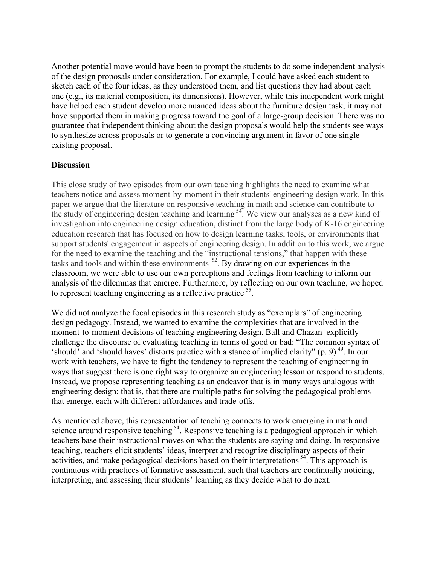Another potential move would have been to prompt the students to do some independent analysis of the design proposals under consideration. For example, I could have asked each student to sketch each of the four ideas, as they understood them, and list questions they had about each one (e.g., its material composition, its dimensions). However, while this independent work might have helped each student develop more nuanced ideas about the furniture design task, it may not have supported them in making progress toward the goal of a large-group decision. There was no guarantee that independent thinking about the design proposals would help the students see ways to synthesize across proposals or to generate a convincing argument in favor of one single existing proposal.

## **Discussion**

This close study of two episodes from our own teaching highlights the need to examine what teachers notice and assess moment-by-moment in their students' engineering design work. In this paper we argue that the literature on responsive teaching in math and science can contribute to the study of engineering design teaching and learning  $54$ . We view our analyses as a new kind of investigation into engineering design education, distinct from the large body of K-16 engineering education research that has focused on how to design learning tasks, tools, or environments that support students' engagement in aspects of engineering design. In addition to this work, we argue for the need to examine the teaching and the "instructional tensions," that happen with these tasks and tools and within these environments  $^{52}$ . By drawing on our experiences in the classroom, we were able to use our own perceptions and feelings from teaching to inform our analysis of the dilemmas that emerge. Furthermore, by reflecting on our own teaching, we hoped to represent teaching engineering as a reflective practice <sup>55</sup>.

We did not analyze the focal episodes in this research study as "exemplars" of engineering design pedagogy. Instead, we wanted to examine the complexities that are involved in the moment-to-moment decisions of teaching engineering design. Ball and Chazan explicitly challenge the discourse of evaluating teaching in terms of good or bad: "The common syntax of 'should' and 'should haves' distorts practice with a stance of implied clarity"  $(p, 9)$ <sup>49</sup>. In our work with teachers, we have to fight the tendency to represent the teaching of engineering in ways that suggest there is one right way to organize an engineering lesson or respond to students. Instead, we propose representing teaching as an endeavor that is in many ways analogous with engineering design; that is, that there are multiple paths for solving the pedagogical problems that emerge, each with different affordances and trade-offs.

As mentioned above, this representation of teaching connects to work emerging in math and science around responsive teaching<sup>54</sup>. Responsive teaching is a pedagogical approach in which teachers base their instructional moves on what the students are saying and doing. In responsive teaching, teachers elicit students' ideas, interpret and recognize disciplinary aspects of their activities, and make pedagogical decisions based on their interpretations <sup>54</sup>. This approach is continuous with practices of formative assessment, such that teachers are continually noticing, interpreting, and assessing their students' learning as they decide what to do next.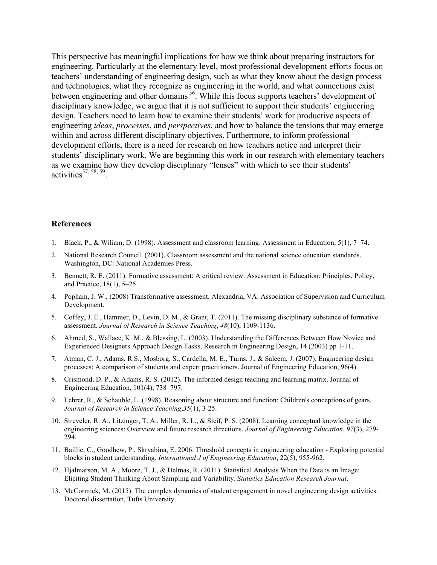This perspective has meaningful implications for how we think about preparing instructors for engineering. Particularly at the elementary level, most professional development efforts focus on teachers' understanding of engineering design, such as what they know about the design process and technologies, what they recognize as engineering in the world, and what connections exist between engineering and other domains <sup>56</sup>. While this focus supports teachers' development of disciplinary knowledge, we argue that it is not sufficient to support their students' engineering design. Teachers need to learn how to examine their students' work for productive aspects of engineering *ideas*, *processes*, and *perspectives*, and how to balance the tensions that may emerge within and across different disciplinary objectives. Furthermore, to inform professional development efforts, there is a need for research on how teachers notice and interpret their students' disciplinary work. We are beginning this work in our research with elementary teachers as we examine how they develop disciplinary "lenses" with which to see their students'  $\arctivities$ <sup>57, 58, 59</sup>.

#### **References**

- 1. Black, P., & Wiliam, D. (1998). Assessment and classroom learning. Assessment in Education, 5(1), 7–74.
- 2. National Research Council. (2001). Classroom assessment and the national science education standards. Washington, DC: National Academies Press.
- 3. Bennett, R. E. (2011). Formative assessment: A critical review. Assessment in Education: Principles, Policy, and Practice, 18(1), 5–25.
- 4. Popham, J. W., (2008) Transformative assessment. Alexandria, VA: Association of Supervision and Curriculum Development.
- 5. Coffey, J. E., Hammer, D., Levin, D. M., & Grant, T. (2011). The missing disciplinary substance of formative assessment. *Journal of Research in Science Teaching*, *48*(10), 1109-1136.
- 6. Ahmed, S., Wallace, K. M., & Blessing, L. (2003). Understanding the Differences Between How Novice and Experienced Designers Approach Design Tasks, Research in Engineering Design, 14 (2003) pp 1-11.
- 7. Atman, C. J., Adams, R.S., Mosborg, S., Cardella, M. E., Turns, J., & Saleem, J. (2007). Engineering design processes: A comparison of students and expert practitioners. Journal of Engineering Education, 96(4).
- 8. Crismond, D. P., & Adams, R. S. (2012). The informed design teaching and learning matrix. Journal of Engineering Education, 101(4), 738–797.
- 9. Lehrer, R., & Schauble, L. (1998). Reasoning about structure and function: Children's conceptions of gears. *Journal of Research in Science Teaching*,*35*(1), 3-25.
- 10. Streveler, R. A., Litzinger, T. A., Miller, R. L., & Steif, P. S. (2008). Learning conceptual knowledge in the engineering sciences: Overview and future research directions. *Journal of Engineering Education*, *97*(3), 279- 294.
- 11. Baillie, C., Goodhew, P., Skryabina, E. 2006. Threshold concepts in engineering education Exploring potential blocks in student understanding. *International J of Engineering Education*, 22(5), 955-962.
- 12. Hjalmarson, M. A., Moore, T. J., & Delmas, R. (2011). Statistical Analysis When the Data is an Image: Eliciting Student Thinking About Sampling and Variability. *Statistics Education Research Journal*.
- 13. McCormick, M. (2015). The complex dynamics of student engagement in novel engineering design activities. Doctoral dissertation, Tufts University.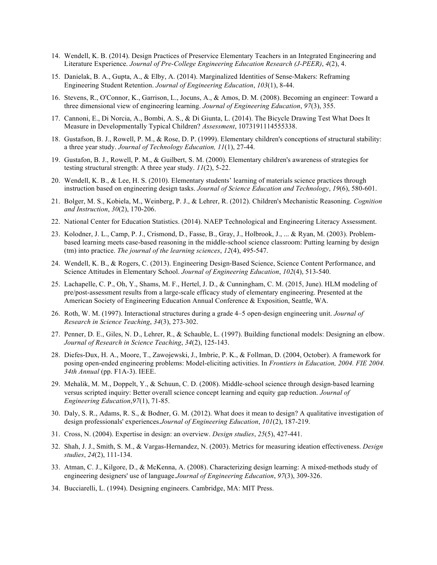- 14. Wendell, K. B. (2014). Design Practices of Preservice Elementary Teachers in an Integrated Engineering and Literature Experience. *Journal of Pre-College Engineering Education Research (J-PEER)*, *4*(2), 4.
- 15. Danielak, B. A., Gupta, A., & Elby, A. (2014). Marginalized Identities of Sense-Makers: Reframing Engineering Student Retention. *Journal of Engineering Education*, *103*(1), 8-44.
- 16. Stevens, R., O'Connor, K., Garrison, L., Jocuns, A., & Amos, D. M. (2008). Becoming an engineer: Toward a three dimensional view of engineering learning. *Journal of Engineering Education*, *97*(3), 355.
- 17. Cannoni, E., Di Norcia, A., Bombi, A. S., & Di Giunta, L. (2014). The Bicycle Drawing Test What Does It Measure in Developmentally Typical Children? *Assessment*, 1073191114555338.
- 18. Gustafson, B. J., Rowell, P. M., & Rose, D. P. (1999). Elementary children's conceptions of structural stability: a three year study. *Journal of Technology Education, 11*(1), 27-44.
- 19. Gustafon, B. J., Rowell, P. M., & Guilbert, S. M. (2000). Elementary children's awareness of strategies for testing structural strength: A three year study. *11*(2), 5-22.
- 20. Wendell, K. B., & Lee, H. S. (2010). Elementary students' learning of materials science practices through instruction based on engineering design tasks. *Journal of Science Education and Technology*, *19*(6), 580-601.
- 21. Bolger, M. S., Kobiela, M., Weinberg, P. J., & Lehrer, R. (2012). Children's Mechanistic Reasoning. *Cognition and Instruction*, *30*(2), 170-206.
- 22. National Center for Education Statistics. (2014). NAEP Technological and Engineering Literacy Assessment.
- 23. Kolodner, J. L., Camp, P. J., Crismond, D., Fasse, B., Gray, J., Holbrook, J., ... & Ryan, M. (2003). Problembased learning meets case-based reasoning in the middle-school science classroom: Putting learning by design (tm) into practice. *The journal of the learning sciences*, *12*(4), 495-547.
- 24. Wendell, K. B., & Rogers, C. (2013). Engineering Design-Based Science, Science Content Performance, and Science Attitudes in Elementary School. *Journal of Engineering Education*, *102*(4), 513-540.
- 25. Lachapelle, C. P., Oh, Y., Shams, M. F., Hertel, J. D., & Cunningham, C. M. (2015, June). HLM modeling of pre/post-assessment results from a large-scale efficacy study of elementary engineering. Presented at the American Society of Engineering Education Annual Conference & Exposition, Seattle, WA.
- 26. Roth, W. M. (1997). Interactional structures during a grade 4–5 open-design engineering unit. *Journal of Research in Science Teaching*, *34*(3), 273-302.
- 27. Penner, D. E., Giles, N. D., Lehrer, R., & Schauble, L. (1997). Building functional models: Designing an elbow. *Journal of Research in Science Teaching*, *34*(2), 125-143.
- 28. Diefes-Dux, H. A., Moore, T., Zawojewski, J., Imbrie, P. K., & Follman, D. (2004, October). A framework for posing open-ended engineering problems: Model-eliciting activities. In *Frontiers in Education, 2004. FIE 2004. 34th Annual* (pp. F1A-3). IEEE.
- 29. Mehalik, M. M., Doppelt, Y., & Schuun, C. D. (2008). Middle-school science through design-based learning versus scripted inquiry: Better overall science concept learning and equity gap reduction. *Journal of Engineering Education*,*97*(1), 71-85.
- 30. Daly, S. R., Adams, R. S., & Bodner, G. M. (2012). What does it mean to design? A qualitative investigation of design professionals' experiences.*Journal of Engineering Education*, *101*(2), 187-219.
- 31. Cross, N. (2004). Expertise in design: an overview. *Design studies*, *25*(5), 427-441.
- 32. Shah, J. J., Smith, S. M., & Vargas-Hernandez, N. (2003). Metrics for measuring ideation effectiveness. *Design studies*, *24*(2), 111-134.
- 33. Atman, C. J., Kilgore, D., & McKenna, A. (2008). Characterizing design learning: A mixed-methods study of engineering designers' use of language.*Journal of Engineering Education*, *97*(3), 309-326.
- 34. Bucciarelli, L. (1994). Designing engineers. Cambridge, MA: MIT Press.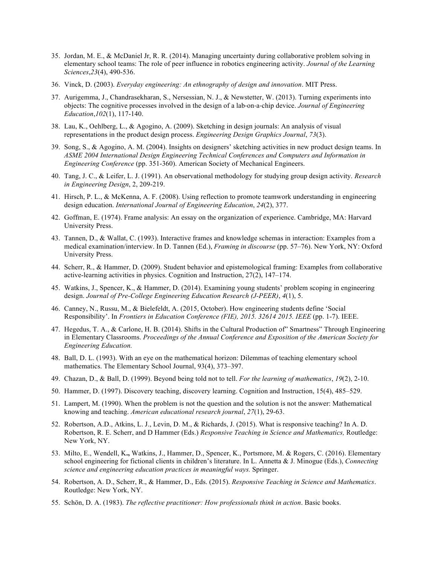- 35. Jordan, M. E., & McDaniel Jr, R. R. (2014). Managing uncertainty during collaborative problem solving in elementary school teams: The role of peer influence in robotics engineering activity. *Journal of the Learning Sciences*,*23*(4), 490-536.
- 36. Vinck, D. (2003). *Everyday engineering: An ethnography of design and innovation*. MIT Press.
- 37. Aurigemma, J., Chandrasekharan, S., Nersessian, N. J., & Newstetter, W. (2013). Turning experiments into objects: The cognitive processes involved in the design of a lab-on-a-chip device. *Journal of Engineering Education*,*102*(1), 117-140.
- 38. Lau, K., Oehlberg, L., & Agogino, A. (2009). Sketching in design journals: An analysis of visual representations in the product design process. *Engineering Design Graphics Journal*, *73*(3).
- 39. Song, S., & Agogino, A. M. (2004). Insights on designers' sketching activities in new product design teams. In *ASME 2004 International Design Engineering Technical Conferences and Computers and Information in Engineering Conference* (pp. 351-360). American Society of Mechanical Engineers.
- 40. Tang, J. C., & Leifer, L. J. (1991). An observational methodology for studying group design activity. *Research in Engineering Design*, 2, 209-219.
- 41. Hirsch, P. L., & McKenna, A. F. (2008). Using reflection to promote teamwork understanding in engineering design education. *International Journal of Engineering Education*, *24*(2), 377.
- 42. Goffman, E. (1974). Frame analysis: An essay on the organization of experience. Cambridge, MA: Harvard University Press.
- 43. Tannen, D., & Wallat, C. (1993). Interactive frames and knowledge schemas in interaction: Examples from a medical examination/interview. In D. Tannen (Ed.), *Framing in discourse* (pp. 57–76). New York, NY: Oxford University Press.
- 44. Scherr, R., & Hammer, D. (2009). Student behavior and epistemological framing: Examples from collaborative active-learning activities in physics. Cognition and Instruction, 27(2), 147–174.
- 45. Watkins, J., Spencer, K., & Hammer, D. (2014). Examining young students' problem scoping in engineering design. *Journal of Pre-College Engineering Education Research (J-PEER)*, *4*(1), 5.
- 46. Canney, N., Russu, M., & Bielefeldt, A. (2015, October). How engineering students define 'Social Responsibility'. In *Frontiers in Education Conference (FIE), 2015. 32614 2015. IEEE* (pp. 1-7). IEEE.
- 47. Hegedus, T. A., & Carlone, H. B. (2014). Shifts in the Cultural Production of" Smartness" Through Engineering in Elementary Classrooms. *Proceedings of the Annual Conference and Exposition of the American Society for Engineering Education.*
- 48. Ball, D. L. (1993). With an eye on the mathematical horizon: Dilemmas of teaching elementary school mathematics. The Elementary School Journal, 93(4), 373–397.
- 49. Chazan, D., & Ball, D. (1999). Beyond being told not to tell. *For the learning of mathematics*, *19*(2), 2-10.
- 50. Hammer, D. (1997). Discovery teaching, discovery learning. Cognition and Instruction, 15(4), 485–529.
- 51. Lampert, M. (1990). When the problem is not the question and the solution is not the answer: Mathematical knowing and teaching. *American educational research journal*, *27*(1), 29-63.
- 52. Robertson, A.D., Atkins, L. J., Levin, D. M., & Richards, J. (2015). What is responsive teaching? In A. D. Robertson, R. E. Scherr, and D Hammer (Eds.) *Responsive Teaching in Science and Mathematics,* Routledge: New York, NY.
- 53. Milto, E., Wendell, K**.,** Watkins, J., Hammer, D., Spencer, K., Portsmore, M. & Rogers, C. (2016). Elementary school engineering for fictional clients in children's literature. In L. Annetta & J. Minogue (Eds.), *Connecting science and engineering education practices in meaningful ways.* Springer.
- 54. Robertson, A. D., Scherr, R., & Hammer, D., Eds. (2015). *Responsive Teaching in Science and Mathematics*. Routledge: New York, NY.
- 55. Schön, D. A. (1983). *The reflective practitioner: How professionals think in action*. Basic books.